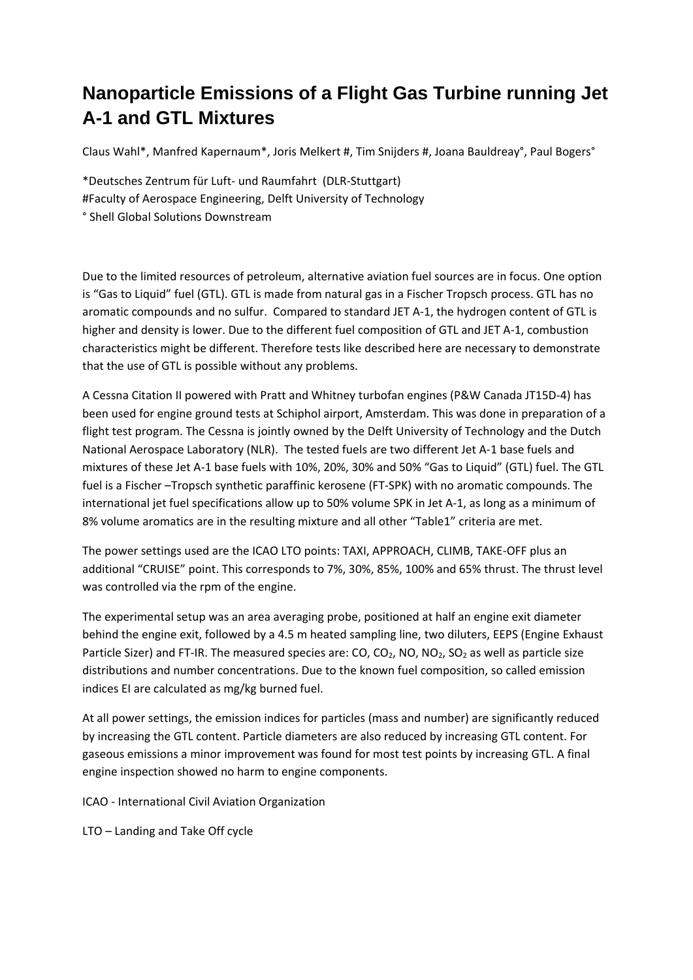## **Nanoparticle Emissions of a Flight Gas Turbine running Jet A-1 and GTL Mixtures**

Claus Wahl\*, Manfred Kapernaum\*, Joris Melkert #, Tim Snijders #, Joana Bauldreay°, Paul Bogers°

\*Deutsches Zentrum für Luft‐ und Raumfahrt (DLR‐Stuttgart) #Faculty of Aerospace Engineering, Delft University of Technology ° Shell Global Solutions Downstream

Due to the limited resources of petroleum, alternative aviation fuel sources are in focus. One option is "Gas to Liquid" fuel (GTL). GTL is made from natural gas in a Fischer Tropsch process. GTL has no aromatic compounds and no sulfur. Compared to standard JET A‐1, the hydrogen content of GTL is higher and density is lower. Due to the different fuel composition of GTL and JET A-1, combustion characteristics might be different. Therefore tests like described here are necessary to demonstrate that the use of GTL is possible without any problems.

A Cessna Citation II powered with Pratt and Whitney turbofan engines (P&W Canada JT15D‐4) has been used for engine ground tests at Schiphol airport, Amsterdam. This was done in preparation of a flight test program. The Cessna is jointly owned by the Delft University of Technology and the Dutch National Aerospace Laboratory (NLR). The tested fuels are two different Jet A‐1 base fuels and mixtures of these Jet A‐1 base fuels with 10%, 20%, 30% and 50% "Gas to Liquid" (GTL) fuel. The GTL fuel is a Fischer –Tropsch synthetic paraffinic kerosene (FT‐SPK) with no aromatic compounds. The international jet fuel specifications allow up to 50% volume SPK in Jet A‐1, as long as a minimum of 8% volume aromatics are in the resulting mixture and all other "Table1" criteria are met.

The power settings used are the ICAO LTO points: TAXI, APPROACH, CLIMB, TAKE‐OFF plus an additional "CRUISE" point. This corresponds to 7%, 30%, 85%, 100% and 65% thrust. The thrust level was controlled via the rpm of the engine.

The experimental setup was an area averaging probe, positioned at half an engine exit diameter behind the engine exit, followed by a 4.5 m heated sampling line, two diluters, EEPS (Engine Exhaust Particle Sizer) and FT-IR. The measured species are: CO, CO<sub>2</sub>, NO, NO<sub>2</sub>, SO<sub>2</sub> as well as particle size distributions and number concentrations. Due to the known fuel composition, so called emission indices EI are calculated as mg/kg burned fuel.

At all power settings, the emission indices for particles (mass and number) are significantly reduced by increasing the GTL content. Particle diameters are also reduced by increasing GTL content. For gaseous emissions a minor improvement was found for most test points by increasing GTL. A final engine inspection showed no harm to engine components.

ICAO ‐ International Civil Aviation Organization

LTO – Landing and Take Off cycle